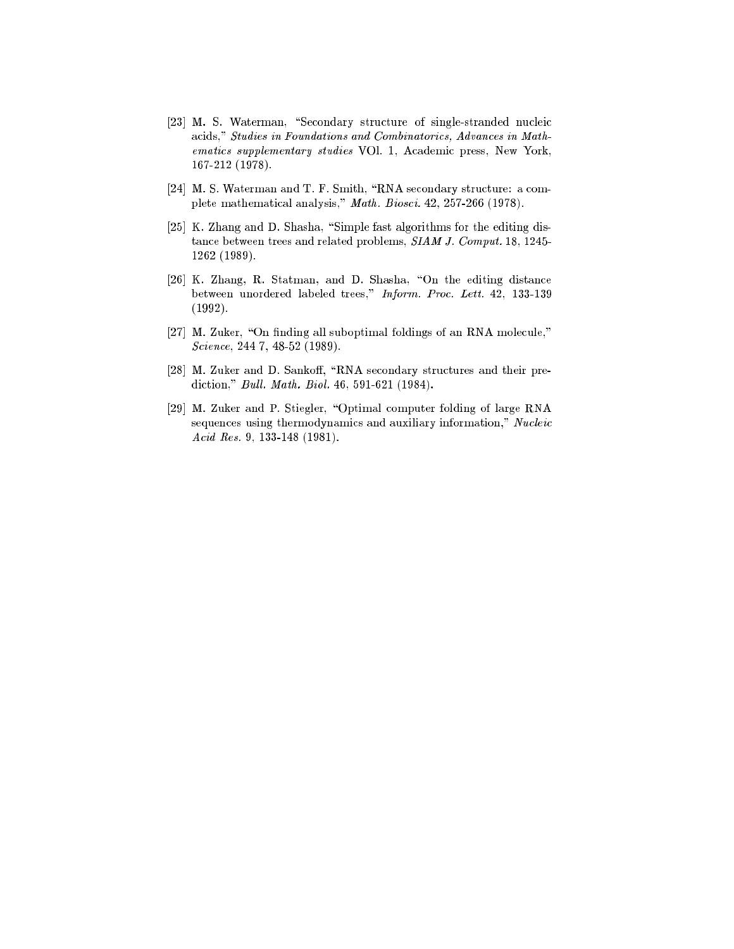- [23] M. S. Waterman, "Secondary structure of single-stranded nucleic acids," Studies in Foundations and Combinatorics, Advances in Mathematics supplementary studies VOl. 1, Academic press, New York, 167-212 (1978).
- [24] M. S. Waterman and T. F. Smith, "RNA secondary structure: a complete mathematical analysis," Math. Biosci. 42, 257-266 (1978).
- [25] K. Zhang and D. Shasha, "Simple fast algorithms for the editing distance between trees and related problems, SIAM J. Comput. 18, 1245- 1262 (1989).
- [26] K. Zhang, R. Statman, and D. Shasha, "On the editing distance between unordered labeled trees," Inform. Proc. Lett. 42, 133-139 (1992).
- [27] M. Zuker, "On finding all suboptimal foldings of an RNA molecule," Science, 244 7, 48-52 (1989).
- [28] M. Zuker and D. Sankoff, "RNA secondary structures and their prediction," Bull. Math. Biol. 46, 591-621 (1984).
- [29] M. Zuker and P. Stiegler, "Optimal computer folding of large RNA sequences using thermodynamics and auxiliary information," Nucleic Acid Res. 9, 133-148 (1981).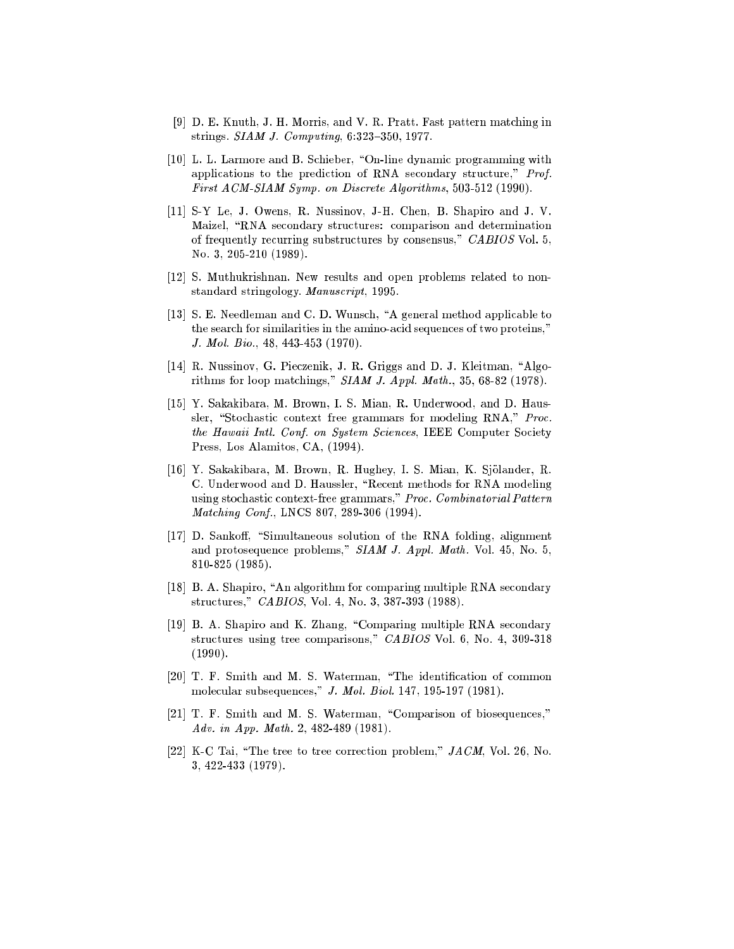- [9] D. E. Knuth, J. H. Morris, and V. R. Pratt. Fast pattern matching in strings. SIAM J. Computing, 6:323-350, 1977.
- [10] L. L. Larmore and B. Schieber, "On-line dynamic programming with applications to the prediction of RNA secondary structure," Prof. First ACM-SIAM Symp. on Discrete Algorithms, 503-512 (1990).
- [11] S-Y Le, J. Owens, R. Nussinov, J-H. Chen, B. Shapiro and J. V. Maizel, "RNA secondary structures: comparison and determination of frequently recurring substructures by consensus," CABIOS Vol. 5, No. 3, 205-210 (1989).
- [12] S. Muthukrishnan. New results and open problems related to nonstandard stringology. Manuscript, 1995.
- [13] S. E. Needleman and C. D. Wunsch, "A general method applicable to the search for similarities in the amino-acid sequences of two proteins," J. Mol. Bio., 48, 443-453 (1970).
- [14] R. Nussinov, G. Pieczenik, J. R. Griggs and D. J. Kleitman, "Algorithms for loop matchings," SIAM J. Appl. Math., 35, 68-82 (1978).
- [15] Y. Sakakibara, M. Brown, I. S. Mian, R. Underwood, and D. Haussler, "Stochastic context free grammars for modeling RNA," Proc. the Hawaii Intl. Conf. on System Sciences, IEEE Computer Society Press, Los Alamitos, CA, (1994).
- [16] Y. Sakakibara, M. Brown, R. Hughey, I. S. Mian, K. Sjolander, R. C. Underwood and D. Haussler, "Recent methods for RNA modeling using stochastic context-free grammars," Proc. Combinatorial Pattern Matching Conf., LNCS 807, 289-306 (1994).
- [17] D. Sankoff, "Simultaneous solution of the RNA folding, alignment and protosequence problems," SIAM J. Appl. Math. Vol. 45, No. 5, 810-825 (1985).
- [18] B. A. Shapiro, "An algorithm for comparing multiple RNA secondary structures," CABIOS, Vol. 4, No. 3, 387-393 (1988).
- [19] B. A. Shapiro and K. Zhang, "Comparing multiple RNA secondary structures using tree comparisons," CABIOS Vol. 6, No. 4, 309-318 (1990).
- [20] T. F. Smith and M. S. Waterman, "The identification of common molecular subsequences," J. Mol. Biol. 147, 195-197 (1981).
- [21] T. F. Smith and M. S. Waterman, "Comparison of biosequences," Adv. in App. Math. 2,  $482-489$  (1981).
- [22] K-C Tai, "The tree to tree correction problem," JACM, Vol. 26, No. 3, 422-433 (1979).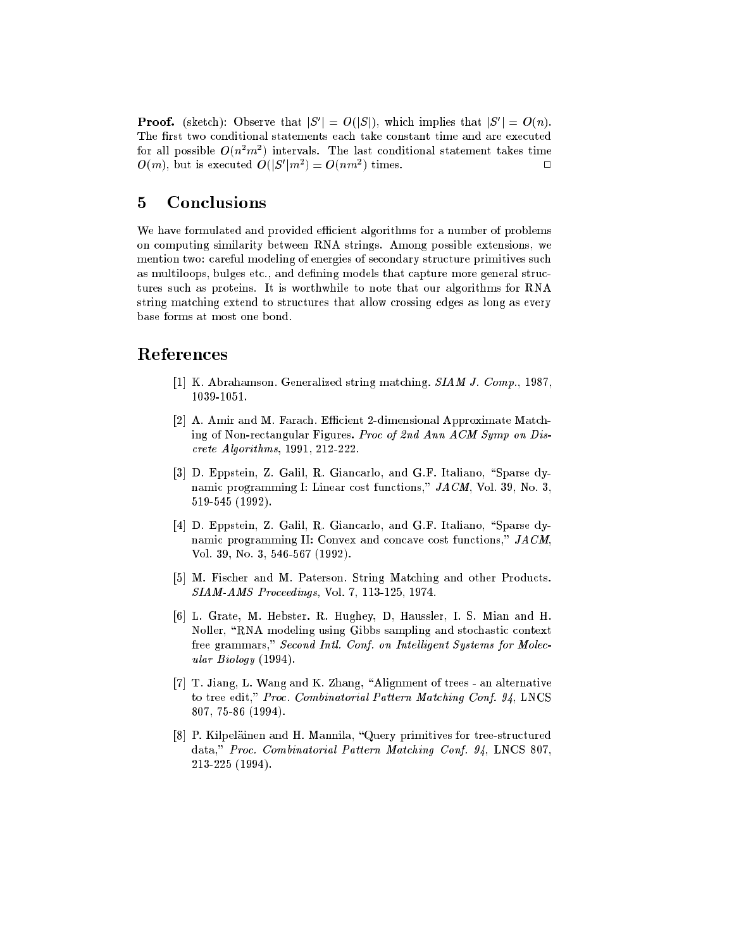**Proof.** (sketch): Observe that  $|S| = O(|S|)$ , which implies that  $|S| = O(n)$ . The first two conditional statements each take constant time and are executed for all possible  $O(n^{\epsilon}m^{\epsilon})$  intervals. The last conditional statement takes time  $\Box$  $O(m)$ , but is executed  $O(|S|)m^2 = O(mm^2)$  times.

## <sup>5</sup> Conclusions

We have formulated and provided efficient algorithms for a number of problems on computing similarity between RNA strings. Among possible extensions, we mention two: careful modeling of energies of secondary structure primitives such as multiloops, bulges etc., and defining models that capture more general structures such as proteins. It is worthwhile to note that our algorithms for RNA string matching extend to structures that allow crossing edges as long as every base forms at most one bond.

# References

- [1] K. Abrahamson. Generalized string matching. SIAM J. Comp., 1987, 1039-1051.
- [2] A. Amir and M. Farach. Efficient 2-dimensional Approximate Matching of Non-rectangular Figures. Proc of 2nd Ann ACM Symp on Discrete Algorithms, 1991, 212-222.
- [3] D. Eppstein, Z. Galil, R. Giancarlo, and G.F. Italiano, "Sparse dynamic programming I: Linear cost functions," JACM, Vol. 39, No. 3, 519-545 (1992).
- [4] D. Eppstein, Z. Galil, R. Giancarlo, and G.F. Italiano, "Sparse dynamic programming II: Convex and concave cost functions," JACM, Vol. 39, No. 3, 546-567 (1992).
- [5] M. Fischer and M. Paterson. String Matching and other Products. SIAM-AMS Proceedings, Vol. 7, 113-125, 1974.
- [6] L. Grate, M. Hebster. R. Hughey, D, Haussler, I. S. Mian and H. Noller, "RNA modeling using Gibbs sampling and stochastic context free grammars," Second Intl. Conf. on Intelligent Systems for Molecular  $Biology (1994)$ .
- [7] T. Jiang, L. Wang and K. Zhang, "Alignment of trees an alternative to tree edit," Proc. Combinatorial Pattern Matching Conf. 94, LNCS 807, 75-86 (1994).
- [8] P. Kilpeläinen and H. Mannila, "Query primitives for tree-structured data," Proc. Combinatorial Pattern Matching Conf. 94, LNCS 807, 213-225 (1994).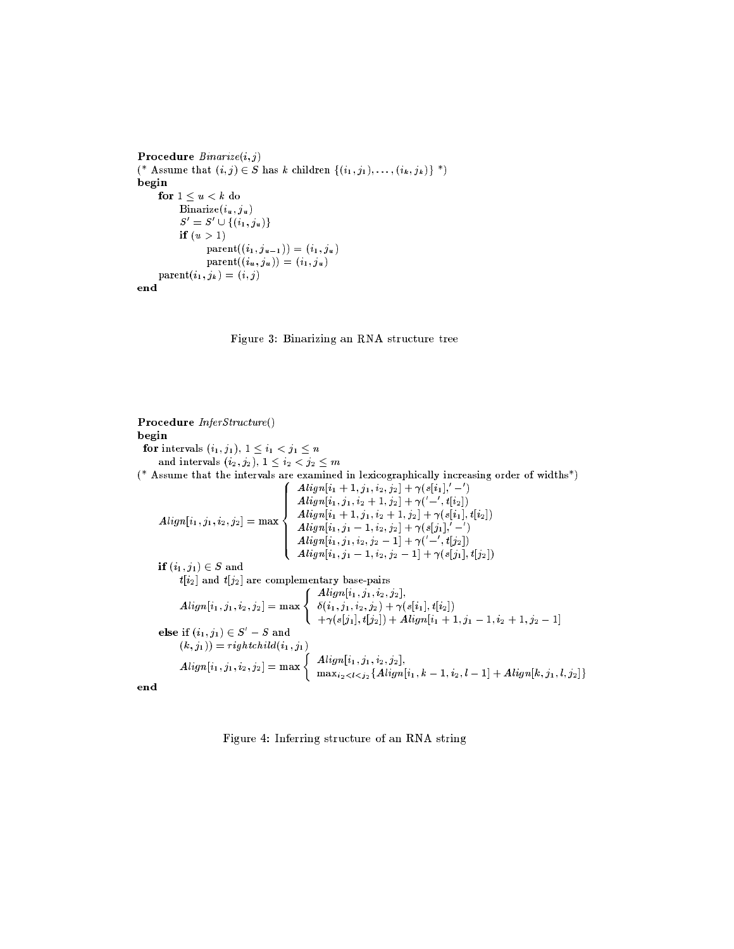```
Procedure Binarize(i, j)(* Assume that (i, j) \in S has k children \{(i_1, j_1), \ldots, (i_k, j_k)\}*)
begin
     for 1 \leq u \leq k do
          Binarize(i_u, j_u)S = S \cup \{(i_1, i_u)\}\if (u > 1)parent((i_1, j_{u-1})) = (i_1, j_u)\text{parent}((i_u, j_u)) = (i_1, j_u)parent(i_1, j_k) = (i, j)end
```


```
Procedure InferStructure()
begin
  for intervals (i_1, j_1), 1 \leq i_1 < j_1 \leq nand intervals (i_2, j_2), 1 \leq i_2 < j_2 \leq m(* Assume that the intervals are examined in lexicographically increasing order of widths*)
           Align[i1 ; j1; i2; j2] = max
                                                                    \perp\overline{\phantom{a}}\text{Arg } n | i_1 + 1, j_1, i_2, j_2 | + \gamma | s | i_1 |, - \rangle\text{Arg } n | i_1, j_1, i_2 + 1, j_2 + \gamma ( - , t | i_2 |)
                                                                            Align[i1 + 1; j1; i2 + 1; j2] + 
(s[i1]; t[i2])
                                                                            \text{Arg } n | i_1, j_1 - 1, i_2, j_2 | + \gamma | s | j_1 |, - 1\text{Arg } n | i_1, j_1, i_2, j_2 - 1 | + \gamma (-1, t | j_2 |)\frac{1}{2} , in the contract \frac{1}{2} , \frac{1}{2} , \frac{1}{2} , \frac{1}{2} , \frac{1}{2} , \frac{1}{2} , \frac{1}{2} , \frac{1}{2} , \frac{1}{2} , \frac{1}{2} , \frac{1}{2} , \frac{1}{2} , \frac{1}{2} , \frac{1}{2} , \frac{1}{2} , \frac{1}{2} , if (i_1, j_1) \in S and
                   t[i_2] and t[j_2] are complementary base-pairs
                    \textit{A} \textit{lign}[i_1, j_1, i_2, j_2] = \max \left\{ \begin{array}{c} \textit{A} \textit{lign}[i_1, j_1, i_2, j_2], \ \delta(i_1, j_1, i_2, j_2) + \gamma(i_1, j_2, j_2) \end{array} \right.(i1 ; j1; i2; j2) + 
(s[i1]; t[i2])
                                                                                     \pm (in the state of the state of \pm 1 \pm 1, i.e. \pm 1, i.e. \pm 1, i.e. \pm 1, i.e. \pm 1, i.e. \pm 1, i.e. \pm 1, i.e. \pm 1, i.e. \pm 1, i.e. \pm 1, i.e. \pm 1, i.e. \pm 1, i.e. \pm 1, i.e. \pm 1, i.
           else if (i_1, j_1) \in S_0 - S_0 and
                    \begin{cases} \text{A} \text{li} q n[i_1, j_1, i_2, j_2] = \max \end{cases} \begin{cases} \text{A} \text{li} q n[i_1, j_1, i_2, j_2], \end{cases}maximus 2 <let x 2 falign in the falling in the falling in the falling \sim 10 for J=1 in the falling in the falling in the falling in the falling in the falling in the falling in the falling in the falling in the fallin
end
```
Figure 4: Inferring structure of an RNA string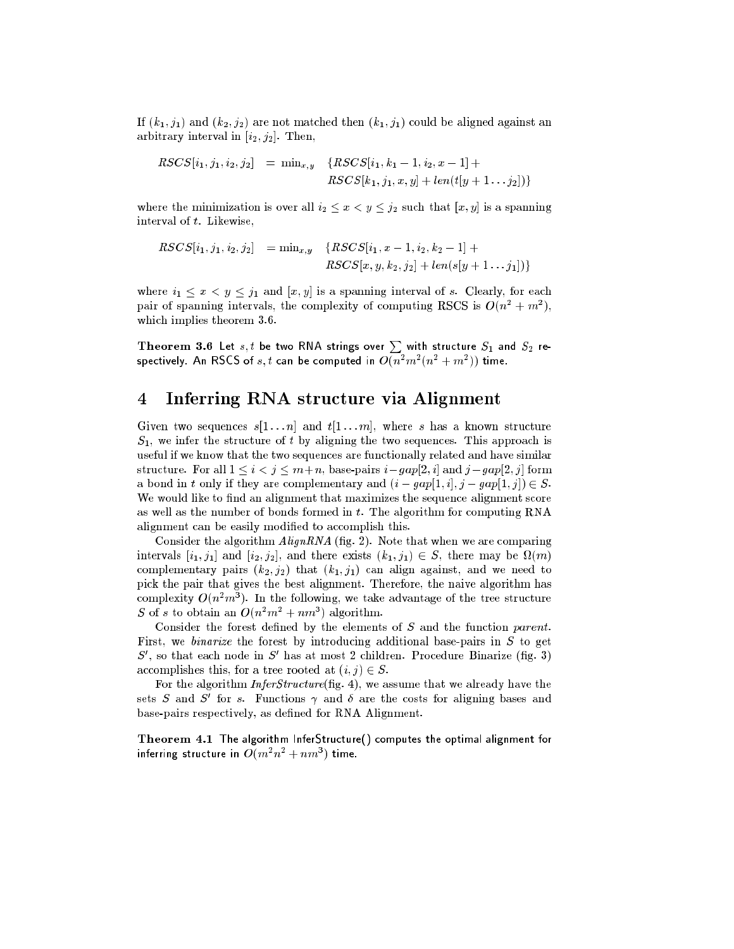If  $(k_1, j_1)$  and  $(k_2, j_2)$  are not matched then  $(k_1, j_1)$  could be aligned against an arbitrary interval in  $[i_2, j_2]$ . Then,

$$
RSCS[i_1, j_1, i_2, j_2] = \min_{x, y} \{RSCS[i_1, k_1 - 1, i_2, x - 1] +
$$
  

$$
RSCS[k_1, j_1, x, y] + len(t[y + 1 \dots j_2])\}
$$

where the minimization is over all  $i_2 \leq x < y \leq j_2$  such that  $[x, y]$  is a spanning interval of t. Likewise,

$$
RSCS[i_1, j_1, i_2, j_2] = \min_{x, y} \{RSCS[i_1, x - 1, i_2, k_2 - 1] +
$$
  

$$
RSCS[x, y, k_2, j_2] + len(s[y + 1 \dots j_1])\}
$$

where  $i_1 \leq x < y \leq j_1$  and  $[x, y]$  is a spanning interval of s. Clearly, for each pair of spanning intervals, the complexity of computing RSCS is  $O(n^2 + m^2)$ , which implies theorem 3.6.

Theorem 3.6 Let  $s,t$  be two RNA strings over  $\sum$  with structure  $S_1$  and  $S_2$  respectively. An RSUS of  $s,t$  can be computed in  $O(n^2m^2(n^2+m^2))$  time.

#### $\overline{\mathcal{A}}$ Inferring RNA structure via Alignment

Given two sequences  $s[1 \dots n]$  and  $t[1 \dots m]$ , where s has a known structure  $S_1$ , we infer the structure of t by aligning the two sequences. This approach is useful if we know that the two sequences are functionally related and have similar structure. For all  $1 \le i \le j \le m+n$ , base-pairs  $i\frac{q}{p}$ , if and  $j\frac{q}{q}$ , if form a bond in t only if they are complementary and  $(i - gap[1, i], j - gap[1, j]) \in S$ . We would like to find an alignment that maximizes the sequence alignment score as well as the number of bonds formed in t. The algorithm for computing RNA alignment can be easily modified to accomplish this.

Consider the algorithm  $\text{A} \text{l} \text{ig} \text{n} \text{R} \text{N} \text{A}$  (fig. 2). Note that when we are comparing intervals  $\begin{bmatrix} 0 & 1 & 1 \\ 1 & 1 & 1 \end{bmatrix}$  and  $\begin{bmatrix} 0 & 0 & 1 \\ 0 & 1 & 1 \end{bmatrix}$  and the matrix  $\begin{bmatrix} 0 & 0 & 0 \\ 0 & 0 & 1 \end{bmatrix}$  and  $\begin{bmatrix} 0 & 0 & 0 \\ 0 & 0 & 1 \end{bmatrix}$ complementary pairs  $(k_2, j_2)$  that  $(k_1, j_1)$  can align against, and we need to pick the pair that gives the best alignment. Therefore, the naive algorithm has complexity  $O(n^2m^3)$ . In the following, we take advantage of the tree structure  $S$  of s to obtain an  $O(n^2m^2 + nm^2)$  algorithm.

Consider the forest defined by the elements of  $S$  and the function parent. First, we *binarize* the forest by introducing additional base-pairs in  $S$  to get  $S$  , so that each node in  $S$  has at most  $\it{z}$  children. Procedure Binarize (ng. 3) accomplishes this, for a tree rooted at  $(i, j) \in S$ .

For the algorithm  $InferStructure$  (fig. 4), we assume that we already have the sets  $S$  and  $S$  for  $s$ . Functions  $\gamma$  and  $o$  are the costs for aligning bases and base-pairs respectively, as defined for RNA Alignment.

Theorem 4.1 The algorithm InferStructure() computes the optimal alignment for inferring structure in  $O(m^2n^2 + nm^2)$  time.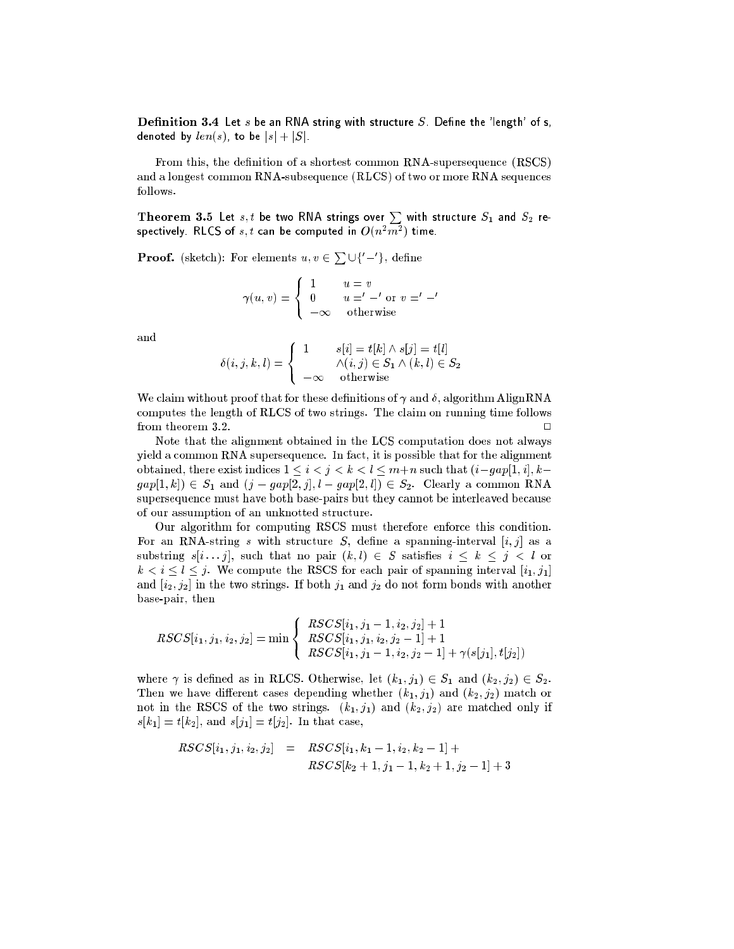**Definition 3.4** Let  $s$  be an RNA string with structure  $S$ . Define the 'length' of s, denoted by  $len(s)$ , to be  $|s| + |S|$ .

From this, the definition of a shortest common RNA-supersequence (RSCS) and a longest common RNA-subsequence (RLCS) of two or more RNA sequences follows.

Theorem 3.5 Let  $s,t$  be two RNA strings over  $\sum$  with structure  $S_1$  and  $S_2$  respectively. Recordingly, the computed in  $O(n^2m^2)$  time.

**Proof.** (sketch): For elements  $u, v \in \sum \cup \{1, 2\}$ , define

$$
\gamma(u,v) = \begin{cases} 1 & u = v \\ 0 & u =' -' \text{ or } v =' -' \\ -\infty & \text{otherwise} \end{cases}
$$

and

$$
\delta(i,j,k,l) = \left\{ \begin{array}{cc} 1 & s[i] = t[k] \wedge s[j] = t[l] \\ \wedge(i,j) \in S_1 \wedge (k,l) \in S_2 \\ -\infty & \text{otherwise} \end{array} \right.
$$

We claim without proof that for these definitions of  $\gamma$  and  $\delta$ , algorithm AlignRNA computes the length of RLCS of two strings. The claim on running time follows from theorem 3.2.  $\Box$ 

Note that the alignment obtained in the LCS computation does not always yield a common RNA supersequence. In fact, it is possible that for the alignment obtained, there exist indices  $1 \leq i < j < k < l \leq m+n$  such that  $(i-qap[1, i], k-q$  $gap[1, k]) \in S_1$  and  $(j - gap[2, j], l - gap[2, l]) \in S_2$ . Clearly a common RNA supersequence must have both base-pairs but they cannot be interleaved because of our assumption of an unknotted structure.

Our algorithm for computing RSCS must therefore enforce this condition. For an RNA-string s with structure S, define a spanning-interval  $[i, j]$  as a substring  $s[i \dots j]$ , such that no pair  $(k, l) \in S$  satisfies  $i \le k \le j \le l$  or  $k < i \leq l \leq j$ . We compute the RSCS for each pair of spanning interval  $[i_1, j_1]$ and  $[i_2, j_2]$  in the two strings. If both  $j_1$  and  $j_2$  do not form bonds with another base-pair, then

$$
RSCS[i_1, j_1, i_2, j_2] = \min \left\{ \begin{array}{c} RSCS[i_1, j_1 - 1, i_2, j_2] + 1 \\ RSCS[i_1, j_1, i_2, j_2 - 1] + 1 \\ RSCS[i_1, j_1 - 1, i_2, j_2 - 1] + \gamma(s[j_1], t[j_2]) \end{array} \right.
$$

where  $\gamma$  is defined as in RLCS. Otherwise, let  $(k_1, j_1) \in S_1$  and  $(k_2, j_2) \in S_2$ . Then we have different cases depending whether  $(k_1, j_1)$  and  $(k_2, j_2)$  match or not in the RSCS of the two strings.  $(k_1, j_1)$  and  $(k_2, j_2)$  are matched only if  $s[k_1] = t[k_2]$ , and  $s[j_1] = t[j_2]$ . In that case,

$$
RSCS[i_1, j_1, i_2, j_2] = RSCS[i_1, k_1 - 1, i_2, k_2 - 1] +
$$
  

$$
RSCS[k_2 + 1, j_1 - 1, k_2 + 1, j_2 - 1] + 3
$$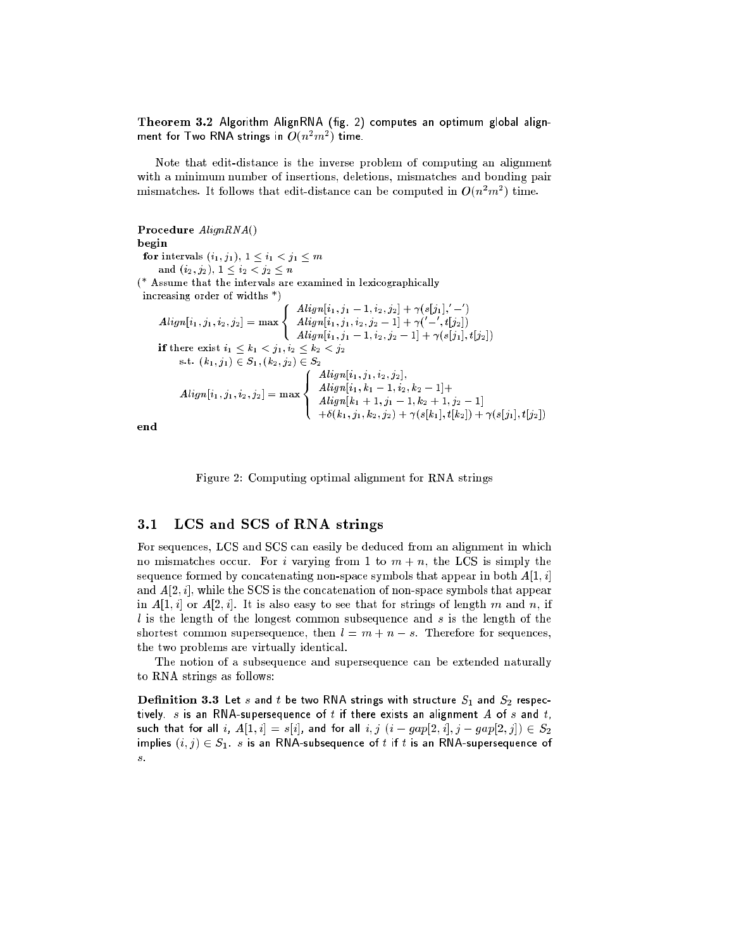Theorem 3.2 Algorithm AlignRNA (fig. 2) computes an optimum global alignment for Two RNA strings in  $O(n^{-}m^{-})$  time.

Note that edit-distance is the inverse problem of computing an alignment with a minimum number of insertions, deletions, mismatches and bonding pair  $\min$ smatches. It follows that edit-distance can be computed in  $O(n^2m^2)$  time.

Procedure AlignRNA() begin for intervals  $(i_1, j_1)$ ,  $1 \leq i_1 < j_1 \leq m$ and  $(i_2, j_2)$ ,  $1 \leq i_2 < j_2 \leq n$ (\* Assume that the intervals are examined in lexicographically increasing order of widths \*)  $\text{A} \text{lim}[i_1, i_1, i_2, i_2] = \max \left\{ \begin{array}{c} \text{A} \text{lim}[i_1, j_1 - 1, i_2, j_2] + \gamma(s[j_1], ' - 1) \ \text{A} \text{lim}[i_1, i_1, i_2, j_2 - 1] + \gamma'(-', t[j_2]) \end{array} \right.$  $\text{Arg } n | i_1, j_1, i_2, j_2 - 1 | + \gamma (-1, t | j_2 |)$ Align[i1 ; j1 1; i2 ; j2 1] + (s[j1]; t[j2]) if there exist i1 k1 < j1; i2 k2 < j2 s.t.  $(k_1, j_1) \in S_1$  ,  $(k_2, j_2) \in S_2$ Align="1" ; j1; i2" ; and i2" >< >: Align[i1 ; j1; i2 ; j2]; ————————————————————————————— Align[k1 + 1; j1 1; k2 + 1; j2 1] +(k1 ; j1; k2; j2) + (s[k1]; t[k2]) + (s[j1]; t[j2])

end

Figure 2: Computing optimal alignment for RNA strings

#### $3.1$ LCS and SCS of RNA strings

For sequences, LCS and SCS can easily be deduced from an alignment in which no mismatches occur. For i varying from 1 to  $m + n$ , the LCS is simply the sequence formed by concatenating non-space symbols that appear in both  $A[1, i]$ and  $A[2, i]$ , while the SCS is the concatenation of non-space symbols that appear in  $A[1, i]$  or  $A[2, i]$ . It is also easy to see that for strings of length m and n, if  $l$  is the length of the longest common subsequence and  $s$  is the length of the shortest common supersequence, then  $l = m + n - s$ . Therefore for sequences, the two problems are virtually identical.

The notion of a subsequence and supersequence can be extended naturally to RNA strings as follows:

**Definition 3.3** Let s and t be two RNA strings with structure  $S_1$  and  $S_2$  respectively. s is an RNA-supersequence of t if there exists an alignment A of s and t, such that for all i,  $A[1, i] = s[i]$ , and for all i,  $j$   $(i - gap[2, i], j - gap[2, j]) \in S_2$ implies  $(i, j) \in S_1$ . s is an RNA-subsequence of t if t is an RNA-supersequence of s.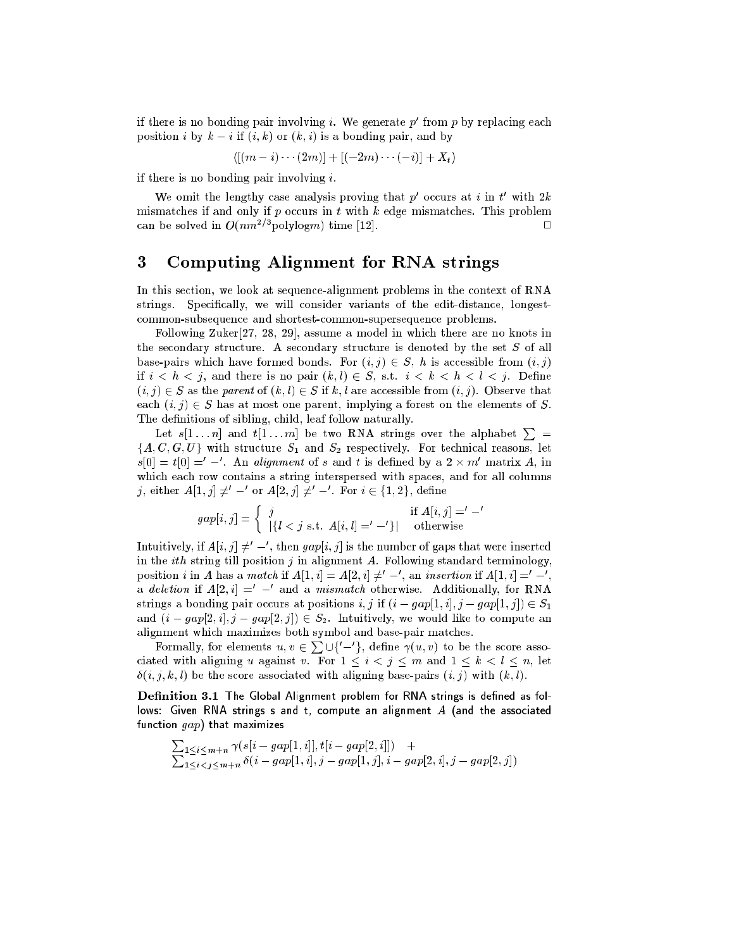if there is no bonding pair involving  $\imath$ . We generate  $p$  from  $p$  by replacing each position i by  $k - i$  if  $(i, k)$  or  $(k, i)$  is a bonding pair, and by

$$
\langle [(m-i)\cdots(2m)] + [(-2m)\cdots(-i)] + X_t \rangle
$$

if there is no bonding pair involving  $i$ .

We omit the lengthy case analysis proving that p occurs at  $i$  in  $i$  with  $2k$ mismatches if and only if  $p$  occurs in  $t$  with  $k$  edge mismatches. This problem  $\Box$ can be solved in  $O(nm^{-2}$  polylogm) time  $|12|$ .

# <sup>3</sup> Computing Alignment for RNA strings

In this section, we look at sequence-alignment problems in the context of RNA strings. Specically, we will consider variants of the edit-distance, longestcommon-subsequence and shortest-common-supersequence problems.

Following Zuker[27, 28, 29], assume a model in which there are no knots in the secondary structure. <sup>A</sup> secondary structure is denoted by the set <sup>S</sup> of all base-pairs which have formed bonds. For  $(i, j) \in S$ , h is accessible from  $(i, j)$ if  $i < h < j$ , and there is no pair  $(k, l) \in S$ , s.t.  $i < k < h < l < j$ . Define  $(i, j) \in S$  as the parent of  $(k, l) \in S$  if k; l are accessible from  $(i, j)$ . Observe that each  $(i, j) \in S$  has at most one parent, implying a forest on the elements of S. The definitions of sibling, child, leaf follow naturally.

Let  $s[1 \dots n]$  and  $t[1 \dots m]$  be two RNA strings over the alphabet  $\Sigma$  =  $\{A, C, G, U\}$  with structure  $S_1$  and  $S_2$  respectively. For technical reasons, let  $s[0] \equiv t[0] \equiv -1$ . An alignment of s and t is defined by a  $2 \times m$  matrix A, in which each row contains a string interspersed with spaces, and for all columns *j*, either  $A[1, j] \neq -$  or  $A[2, j] \neq -$ , for  $i \in \{1, 2\}$ , define

$$
gap[i,j] = \begin{cases} j & \text{if } A[i,j] =' -' \\ |\{l < j \text{ s.t. } A[i,l] =' -'\}| & \text{otherwise} \end{cases}
$$

Intuitively, if  $A[i, j] \neq -$  , then  $qap[i, j]$  is the number of gaps that were inserted in the *ith* string till position  $j$  in alignment  $A$ . Following standard terminology, position i in A has a match if  $A[1, i] = A[2, i] \neq -$ , an insertion if  $A[1, i] = -$ , a deletion if  $A(Z, y) = 0$  and a mismatch otherwise. Additionally, for RNA strings a bonding pair occurs at positions i, j if  $(i - gap[1, i], j - gap[1, j]) \in S_1$ and  $(i - gap[2, i], j - gap[2, j]) \in S_2$ . Intuitively, we would like to compute an alignment which maximizes both symbol and base-pair matches.

Formally, for elements  $u, v \in \sum \cup \{1, 2, \ldots \}$ , define  $\gamma(u, v)$  to be the score associated with aligning u against v. For  $1 \leq i < j \leq m$  and  $1 \leq k < l \leq n$ , let  $\delta(i, j, k, l)$  be the score associated with aligning base-pairs  $(i, j)$  with  $(k, l)$ .

Definition 3.1 The Global Alignment problem for RNA strings is defined as follows: Given RNA strings <sup>s</sup> and t, compute an alignment <sup>A</sup> (and the associated function  $gap$ ) that maximizes

$$
\sum_{1 \leq i \leq m+n} \gamma(s[i-gap[1,i]], t[i-gap[2,i]]) + \newline \sum_{1 \leq i < j \leq m+n} \delta(i-gap[1,i], j-gap[1,j], i-gap[2,i], j-gap[2,j])
$$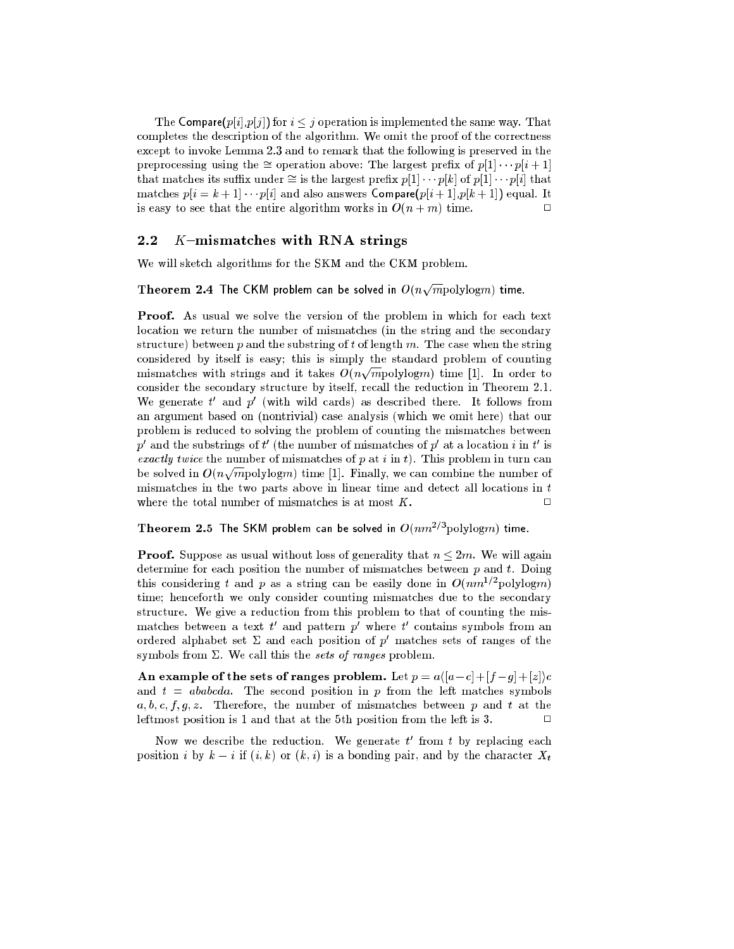The Compare( $p[i], p[j]$ ) for  $i \leq j$  operation is implemented the same way. That completes the description of the algorithm. We omit the proof of the correctness except to invoke Lemma 2.3 and to remark that the following is preserved in the preprocessing using the  $\cong$  operation above: The largest prefix of  $p[1] \cdots p[i+1]$ that matches its suffix under  $\cong$  is the largest prefix  $p[1] \cdots p[k]$  of  $p[1] \cdots p[i]$  that matches  $p[i = k + 1] \cdots p[i]$  and also answers Compare $(p[i + 1], p[k + 1])$  equal. It is easy to see that the entire algorithm works in  $O(n+m)$  time.  $\Box$ 

#### $2.2$  $K{-}{\rm\bf min}$  and  ${\rm\bf m}$  and  ${\rm\bf m}$  and  ${\rm\bf m}$  and  ${\rm\bf m}$

We will sketch algorithms for the SKM and the CKM problem.

Theorem 2.4 The CKM problem can be solved in  $O(n\sqrt{m} \mathrm{polylog} m)$  time.

Proof. As usual we solve the version of the problem in which for each text location we return the number of mismatches (in the string and the secondary structure) between p and the substring of t of length m. The case when the string considered by itself is easy; this is simply the standard problem of counting mismatches with strings and it takes  $O(n\sqrt{m}$ polylogm) time [1]. In order to consider the secondary structure by itself, recall the reduction in Theorem 2.1. We generate t and  $p$  (with wild cards) as described there. It follows from an argument based on (nontrivial) case analysis (which we omit here) that our problem is reduced to solving the problem of counting the mismatches between  $p$  and the substrings of  $t$  (the number of mismatches of  $p$  at a location  $\imath$  in  $t$  is exactly twice the number of mismatches of  $p$  at  $i$  in  $t$ ). This problem in turn can be solved in  $O(n\sqrt{m}$ polylogm) time [1]. Finally, we can combine the number of mismatches in the two parts above in linear time and detect all locations in  $t$ where the total number of mismatches is at most  $K$ .  $\Box$ 

### **I** neorem 2.5 The SNM problem can be solved in  $O(mm^{-1/2})$  polylogm) time.

**Proof.** Suppose as usual without loss of generality that  $n \leq 2m$ . We will again determine for each position the number of mismatches between  $p$  and  $t$ . Doing this considering t and p as a string can be easily done in  $O(nm^{-1}$  polylogm) time; henceforth we only consider counting mismatches due to the secondary structure. We give a reduction from this problem to that of counting the mismatches between a text  $\iota$  and pattern  $p$  where  $\iota$  contains symbols from an ordered alphabet set  $\Sigma$  and each position of p' matches sets of ranges of the symbols from  $\Sigma$ . We call this the sets of ranges problem.

An example of the sets of ranges problem. Let  $p = a/(a-c) + [f-q] + [z]c$ and  $t = ababcda$ . The second position in p from the left matches symbols  $a, b, c, f, q, z$ . Therefore, the number of mismatches between p and t at the leftmost position is 1 and that at the 5th position from the left is 3.  $\Box$ 

Now we describe the reduction. We generate  $t$  from  $t$  by replacing each position i by  $k - i$  if  $(i, k)$  or  $(k, i)$  is a bonding pair, and by the character  $X_t$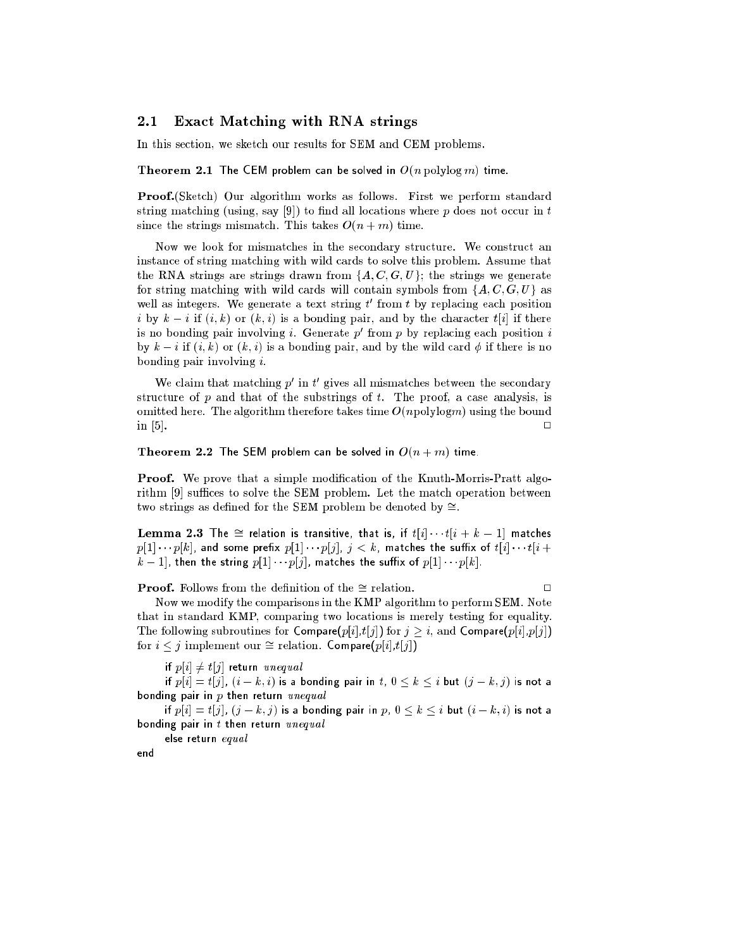## 2.1 Exact Matching with RNA strings

In this section, we sketch our results for SEM and CEM problems.

Theorem 2.1 The CEM problem can be solved in  $O(n \text{ polylog } m)$  time.

Proof.(Sketch) Our algorithm works as follows. First we perform standard string matching (using, say [9]) to find all locations where  $p$  does not occur in  $t$ since the strings mismatch. This takes  $O(n + m)$  time.

Now we look for mismatches in the secondary structure. We construct an instance of string matching with wild cards to solve this problem. Assume that the RNA strings are strings drawn from  $\{A, C, G, U\}$ ; the strings we generate for string matching with wild cards will contain symbols from  $\{A, C, G, U\}$  as well as integers. We generate a text string  $t^+$  from  $t$  by replacing each position i by  $k - i$  if  $(i, k)$  or  $(k, i)$  is a bonding pair, and by the character  $t[i]$  if there is no bonding pair involving  $i$ . Generate  $p$  from  $p$  by replacing each position  $i$ by  $k - i$  if  $(i, k)$  or  $(k, i)$  is a bonding pair, and by the wild card  $\phi$  if there is no bonding pair involving  $i$ .

We claim that matching  $p$  in tegives all mismatches between the secondary structure of  $p$  and that of the substrings of  $t$ . The proof, a case analysis, is omitted here. The algorithm therefore takes time  $O(npolylogm)$  using the bound  $\Box$ in [5]. <sup>2</sup>

### Theorem 2.2 The SEM problem can be solved in  $O(n+m)$  time.

Proof. We prove that a simple modification of the Knuth-Morris-Pratt algorithm [9] suffices to solve the SEM problem. Let the match operation between two strings as defined for the SEM problem be denoted by  $\cong$ .

Lemma 2.3 The  $\cong$  relation is transitive, that is, if  $t[i] \cdots t[i + k - 1]$  matches  $p[1]\cdots p[k]$ , and some prefix  $p[1]\cdots p[j]$ ,  $j < k$ , matches the suffix of  $t[i]\cdots t[i+1]$  $k = 1]$ , then the string  $p[1] \cdots p[j]$ , matches the suffix of  $p[1] \cdots p[k]$ .

**Proof.** Follows from the definition of the  $\cong$  relation.

Now we modify the comparisons in the KMP algorithm to perform SEM. Note that in standard KMP, comparing two locations is merely testing for equality. The following subroutines for Compare(p[i],t[j]) for  $j \geq i$ , and Compare(p[i],p[j]) for  $i \leq j$  implement our  $\cong$  relation. Compare(p[i],t[j])

if  $p[i] \neq t[j]$  return unequal

if  $p[i] = t[j]$ ,  $(i - k, i)$  is a bonding pair in  $t$ ,  $0 \leq k \leq i$  but  $(j - k, j)$  is not a bonding pair in  $p$  then return  $\emph{unequal}$ 

if  $p[i] = t[j]$ ,  $(j - k, j)$  is a bonding pair in  $p, 0 \leq k \leq i$  but  $(i - k, i)$  is not a bonding pair in  $t$  then return  $unequal$ 

else return equal

end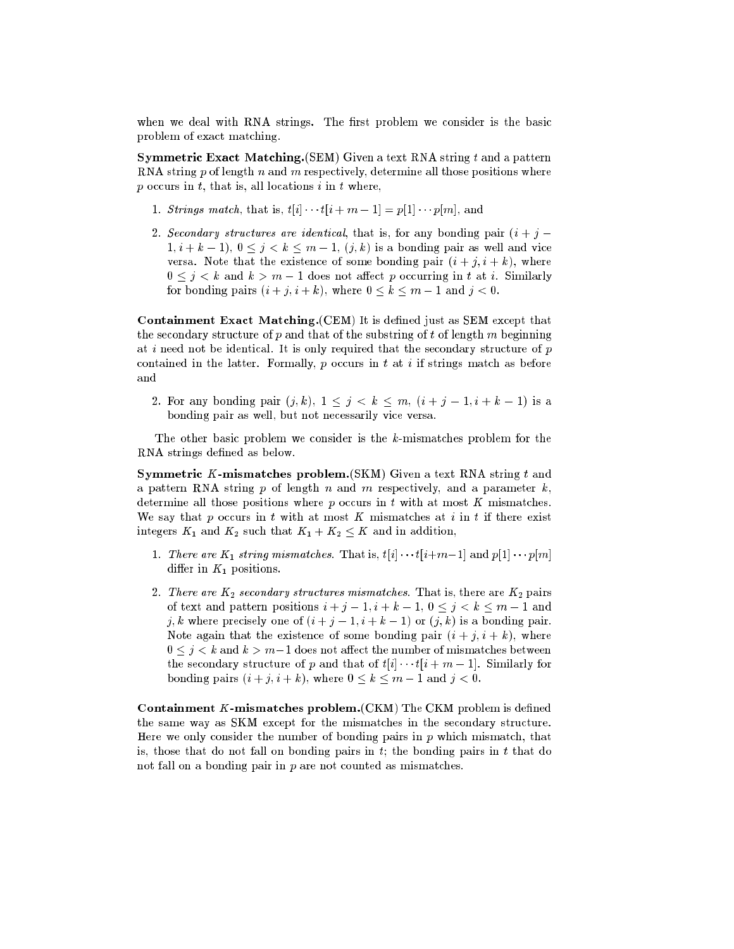when we deal with RNA strings. The first problem we consider is the basic problem of exact matching.

Symmetric Exact Matching.  $(SEM)$  Given a text RNA string t and a pattern RNA string  $p$  of length  $n$  and  $m$  respectively, determine all those positions where p occurs in t, that is, all locations  $i$  in t where,

- 1. Strings match, that is,  $t[i] \cdots t[i + m 1] = p[1] \cdots p[m]$ , and
- 2. Secondary structures are identical, that is, for any bonding pair  $(i + j j)$  $1, i + k - 1$ ,  $0 \leq j < k \leq m - 1$ ,  $(j, k)$  is a bonding pair as well and vice versa. Note that the existence of some bonding pair  $(i + j, i + k)$ , where  $0 \leq j < k$  and  $k > m - 1$  does not affect p occurring in t at i. Similarly for bonding pairs  $(i + j, i + k)$ , where  $0 \le k \le m - 1$  and  $j < 0$ .

Containment Exact Matching. (CEM) It is defined just as SEM except that the secondary structure of  $p$  and that of the substring of  $t$  of length  $m$  beginning at  $i$  need not be identical. It is only required that the secondary structure of  $p$ contained in the latter. Formally,  $p$  occurs in  $t$  at  $i$  if strings match as before and

 $2.1$  for any boundary pair (jiv),  $2.1$  ,  $\sqrt{N}$  ,  $1.0$  ,  $\sqrt{N}$  ,  $1.0$  ,  $1.0$  ,  $1.0$  ,  $1.0$  ,  $1.0$ bonding pair as well, but not necessarily vice versa.

The other basic problem we consider is the k-mismatches problem for the RNA strings defined as below.

Symmetric K-mismatches problem.(SKM) Given a text RNA string <sup>t</sup> and a pattern RNA string  $p$  of length  $n$  and  $m$  respectively, and a parameter  $k$ , determine all those positions where p occurs in t with at most K mismatches. We say that  $p$  occurs in  $t$  with at most  $K$  mismatches at  $i$  in  $t$  if there exist integers  $K_1$  and  $K_2$  such that  $K_1 + K_2 \leq K$  and in addition,

- 1. There are  $K_1$  string mismatches. That is,  $t[i] \cdots t[i+m-1]$  and  $p[1] \cdots p[m]$ differ in  $K_1$  positions.
- 2. There are  $K_2$  secondary structures mismatches. That is, there are  $K_2$  pairs of text and pattern positions  $i + j - 1$ ,  $i + k - 1$ ,  $0 \leq j < k \leq m - 1$  and j, k where precisely one of  $(i + j - 1, i + k - 1)$  or  $(j, k)$  is a bonding pair. Note again that the existence of some bonding pair  $(i + j, i + k)$ , where  $0 \leq j \leq k$  and  $k > m-1$  does not affect the number of mismatches between the secondary structure of p and that of  $t[i] \cdots t[i+m-1]$ . Similarly for bonding pairs  $(i + j, i + k)$ , where  $0 \le k \le m - 1$  and  $j < 0$ .

Containment K-mismatches problem. (CKM) The CKM problem is defined the same way as SKM except for the mismatches in the secondary structure. Here we only consider the number of bonding pairs in  $p$  which mismatch, that is, those that do not fall on bonding pairs in  $t$ ; the bonding pairs in  $t$  that do not fall on a bonding pair in  $p$  are not counted as mismatches.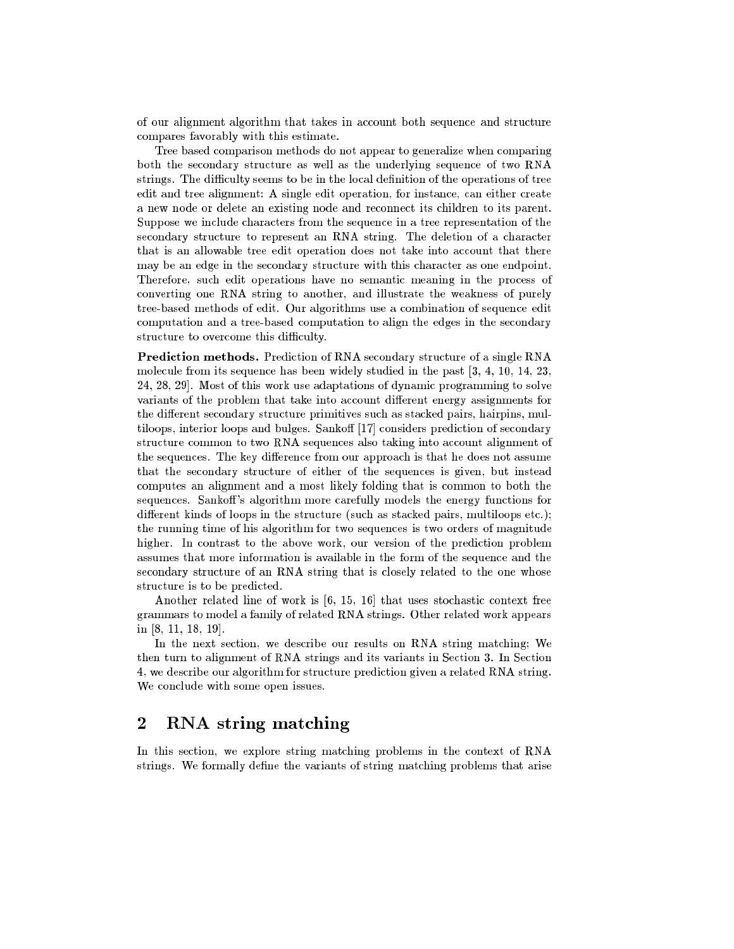of our alignment algorithm that takes in account both sequence and structure compares favorably with this estimate.

Tree based comparison methods do not appear to generalize when comparing both the secondary structure as well as the underlying sequence of two RNA strings. The difficulty seems to be in the local definition of the operations of tree edit and tree alignment: A single edit operation, for instance, can either create a new node or delete an existing node and reconnect its children to its parent. Suppose we include characters from the sequence in a tree representation of the secondary structure to represent an RNA string. The deletion of <sup>a</sup> character that is an allowable tree edit operation does not take into account that there may be an edge in the secondary structure with this character as one endpoint. Therefore, such edit operations have no semantic meaning in the process of converting one RNA string to another, and illustrate the weakness of purely tree-based methods of edit. Our algorithms use a combination of sequence edit computation and a tree-based computation to align the edges in the secondary structure to overcome this difficulty.

Prediction methods. Prediction of RNA secondary structure of a single RNA molecule from its sequence has been widely studied in the past [3, 4, 10, 14, 23, 24, 28, 29]. Most of this work use adaptations of dynamic programming to solve variants of the problem that take into account different energy assignments for the different secondary structure primitives such as stacked pairs, hairpins, multiloops, interior loops and bulges. Sankoff [17] considers prediction of secondary structure common to two RNA sequences also taking into account alignment of the sequences. The key difference from our approach is that he does not assume that the secondary structure of either of the sequences is given, but instead computes an alignment and a most likely folding that is common to both the sequences. Sankoff's algorithm more carefully models the energy functions for different kinds of loops in the structure (such as stacked pairs, multiloops etc.); the running time of his algorithm for two sequences is two orders of magnitude higher. In contrast to the above work, our version of the prediction problem assumes that more information is available in the form of the sequence and the secondary structure of an RNA string that is closely related to the one whose structure is to be predicted.

Another related line of work is [6, 15, 16] that uses stochastic context free grammars to model a family of related RNA strings. Other related work appears in [8, 11, 18, 19].

In the next section, we describe our results on RNA string matching; We then turn to alignment of RNA strings and its variants in Section 3. In Section 4, we describe our algorithm for structure prediction given a related RNA string. We conclude with some open issues.

# <sup>2</sup> RNA string matching

In this section, we explore string matching problems in the context of RNA strings. We formally define the variants of string matching problems that arise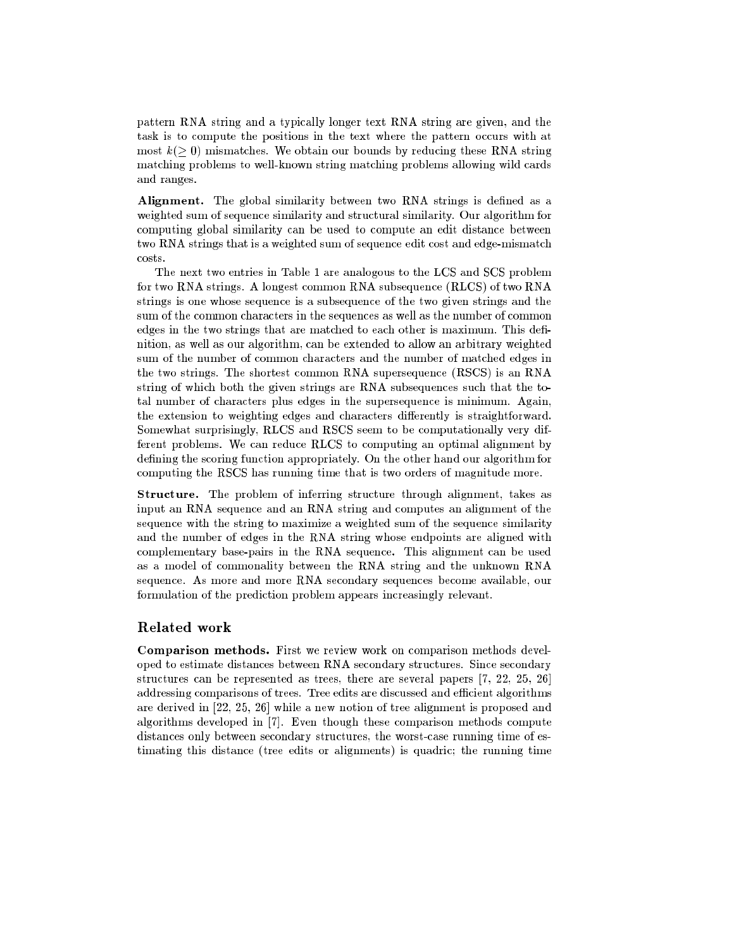pattern RNA string and a typically longer text RNA string are given, and the task is to compute the positions in the text where the pattern occurs with at most  $k(\geq 0)$  mismatches. We obtain our bounds by reducing these RNA string matching problems to well-known string matching problems allowing wild cards and ranges.

Alignment. The global similarity between two RNA strings is defined as a weighted sum of sequence similarity and structural similarity. Our algorithm for computing global similarity can be used to compute an edit distance between two RNA strings that is a weighted sum of sequence edit cost and edge-mismatch costs.

The next two entries in Table 1 are analogous to the LCS and SCS problem for two RNA strings. A longest common RNA subsequence (RLCS) of two RNA strings is one whose sequence is a subsequence of the two given strings and the sum of the common characters in the sequences as well as the number of common edges in the two strings that are matched to each other is maximum. This definition, as well as our algorithm, can be extended to allow an arbitrary weighted sum of the number of common characters and the number of matched edges in the two strings. The shortest common RNA supersequence (RSCS) is an RNA string of which both the given strings are RNA subsequences such that the total number of characters plus edges in the supersequence is minimum. Again, the extension to weighting edges and characters differently is straightforward. Somewhat surprisingly, RLCS and RSCS seem to be computationally very different problems. We can reduce RLCS to computing an optimal alignment by defining the scoring function appropriately. On the other hand our algorithm for computing the RSCS has running time that is two orders of magnitude more.

Structure. The problem of inferring structure through alignment, takes as input an RNA sequence and an RNA string and computes an alignment of the sequence with the string to maximize a weighted sum of the sequence similarity and the number of edges in the RNA string whose endpoints are aligned with complementary base-pairs in the RNA sequence. This alignment can be used as <sup>a</sup> model of commonality between the RNA string and the unknown RNA sequence. As more and more RNA secondary sequences become available, our formulation of the prediction problem appears increasingly relevant.

## Related work

Comparison methods. First we review work on comparison methods developed to estimate distances between RNA secondary structures. Since secondary structures can be represented as trees, there are several papers [7, 22, 25, 26] addressing comparisons of trees. Tree edits are discussed and efficient algorithms are derived in [22, 25, 26] while a new notion of tree alignment is proposed and algorithms developed in [7]. Even though these comparison methods compute distances only between secondary structures, the worst-case running time of estimating this distance (tree edits or alignments) is quadric; the running time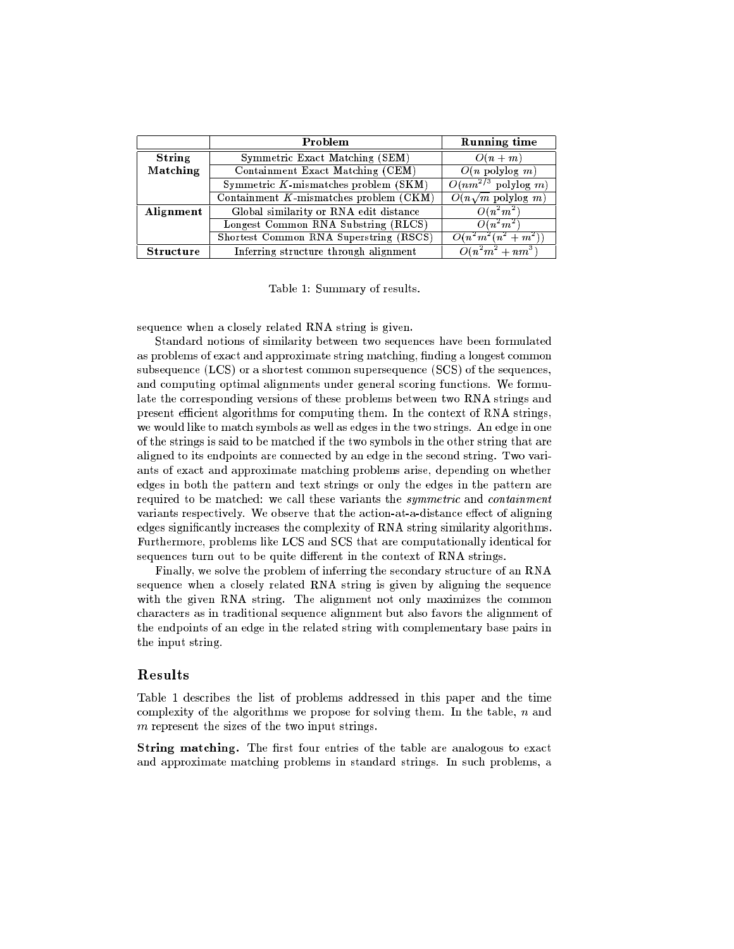|                  | Problem                                     | <b>Running time</b>               |
|------------------|---------------------------------------------|-----------------------------------|
| <b>String</b>    | Symmetric Exact Matching (SEM)              | $O(n+m)$                          |
| Matching         | Containment Exact Matching (CEM)            | $O(n \text{ polylog } m)$         |
|                  | Symmetric $K$ -mismatches problem $(SKM)$   | $O(nm^{2/3} \text{ polylog } m)$  |
|                  | Containment $K$ -mismatches problem $(CKM)$ | $O(n\sqrt{m} \text{ polylog } m)$ |
| Alignment        | Global similarity or RNA edit distance      | $O(n^2m^2)$                       |
|                  | Longest Common RNA Substring (RLCS)         | $O(n^2m^2)$                       |
|                  | Shortest Common RNA Superstring (RSCS)      | $O(n^2m^2(n^2+m^2))$              |
| <b>Structure</b> | Inferring structure through alignment       | $O(n^2m^2 + nm^3)$                |

Table 1: Summary of results.

sequence when a closely related RNA string is given.

Standard notions of similarity between two sequences have been formulated as problems of exact and approximate string matching, finding a longest common subsequence (LCS) or a shortest common supersequence (SCS) of the sequences, and computing optimal alignments under general scoring functions. We formulate the corresponding versions of these problems between two RNA strings and present efficient algorithms for computing them. In the context of RNA strings, we would like to match symbols as well as edges in the two strings. An edge in one of the strings is said to be matched if the two symbols in the other string that are aligned to its endpoints are connected by an edge in the second string. Two variants of exact and approximate matching problems arise, depending on whether edges in both the pattern and text strings or only the edges in the pattern are required to be matched: we call these variants the *symmetric* and *containment* variants respectively. We observe that the action-at-a-distance effect of aligning edges signicantly increases the complexity of RNA string similarity algorithms. Furthermore, problems like LCS and SCS that are computationally identical for sequences turn out to be quite different in the context of RNA strings.

Finally, we solve the problem of inferring the secondary structure of an RNA sequence when a closely related RNA string is given by aligning the sequence with the given RNA string. The alignment not only maximizes the common characters as in traditional sequence alignment but also favors the alignment of the endpoints of an edge in the related string with complementary base pairs in the input string.

### Results

Table <sup>1</sup> describes the list of problems addressed in this paper and the time complexity of the algorithms we propose for solving them. In the table,  $n$  and m represent the sizes of the two input strings.

String matching. The first four entries of the table are analogous to exact and approximate matching problems in standard strings. In such problems, <sup>a</sup>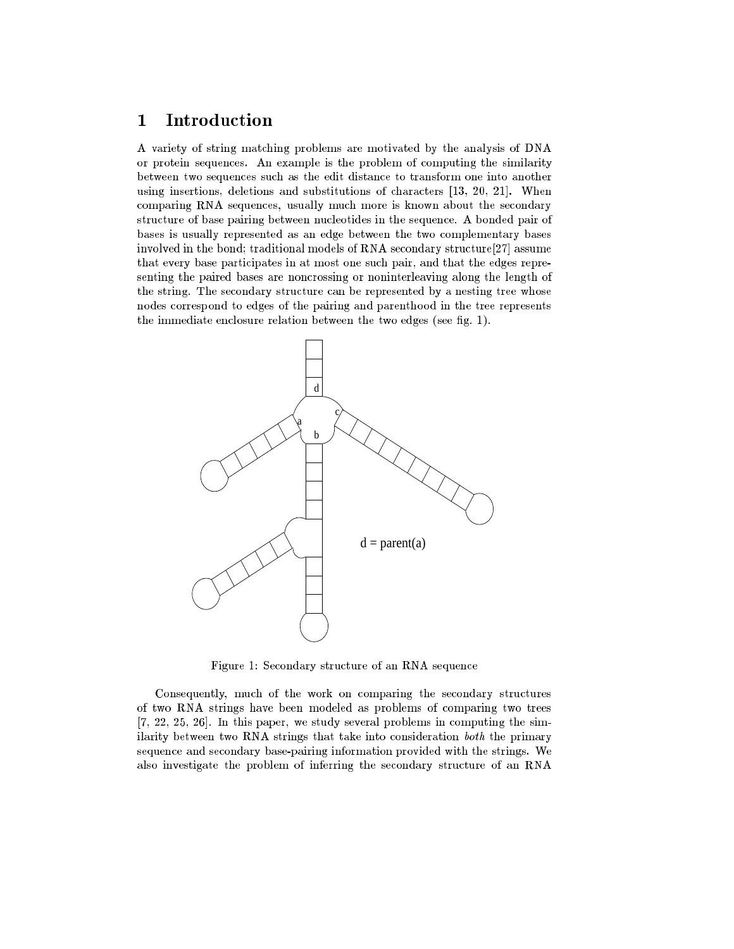# <sup>1</sup> Introduction

<sup>A</sup> variety of string matching problems are motivated by the analysis of DNA or protein sequences. An example is the problem of computing the similarity between two sequences such as the edit distance to transform one into another using insertions, deletions and substitutions of characters [13, 20, 21]. When comparing RNA sequences, usually much more is known about the secondary structure of base pairing between nucleotides in the sequence. A bonded pair of bases is usually represented as an edge between the two complementary bases involved in the bond; traditional models of RNA secondary structure[27] assume that every base participates in at most one such pair, and that the edges representing the paired bases are noncrossing or noninterleaving along the length of the string. The secondary structure can be represented by a nesting tree whose nodes correspond to edges of the pairing and parenthood in the tree represents the immediate enclosure relation between the two edges (see fig. 1).



Figure 1: Secondary structure of an RNA sequence

Consequently, much of the work on comparing the secondary structures of two RNA strings have been modeled as problems of comparing two trees [7, 22, 25, 26]. In this paper, we study several problems in computing the similarity between two RNA strings that take into consideration both the primary sequence and secondary base-pairing information provided with the strings. We also investigate the problem of inferring the secondary structure of an RNA